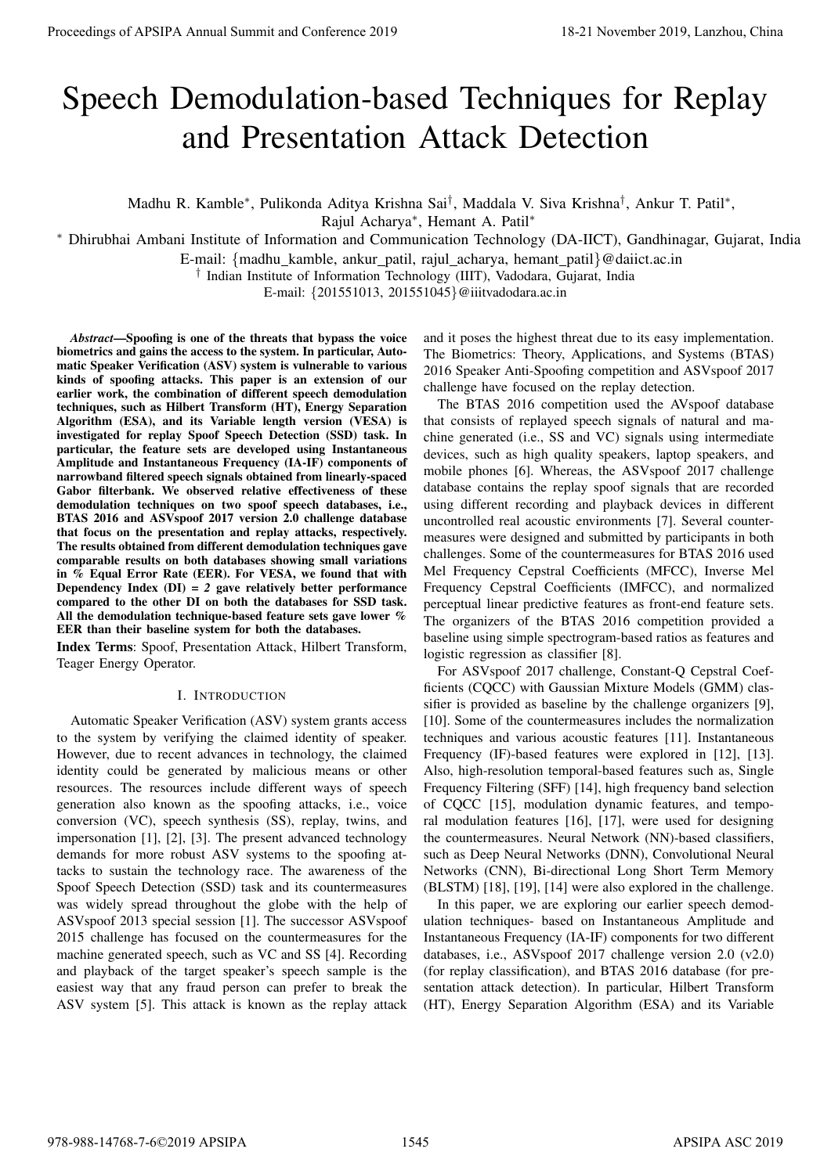# Speech Demodulation-based Techniques for Replay and Presentation Attack Detection

Madhu R. Kamble\*, Pulikonda Aditya Krishna Sai<sup>†</sup>, Maddala V. Siva Krishna<sup>†</sup>, Ankur T. Patil\*,

Rajul Acharya<sup>∗</sup> , Hemant A. Patil<sup>∗</sup>

<sup>∗</sup> Dhirubhai Ambani Institute of Information and Communication Technology (DA-IICT), Gandhinagar, Gujarat, India

E-mail: {madhu kamble, ankur patil, rajul acharya, hemant patil}@daiict.ac.in

† Indian Institute of Information Technology (IIIT), Vadodara, Gujarat, India

E-mail: {201551013, 201551045}@iiitvadodara.ac.in

*Abstract*—Spoofing is one of the threats that bypass the voice biometrics and gains the access to the system. In particular, Automatic Speaker Verification (ASV) system is vulnerable to various kinds of spoofing attacks. This paper is an extension of our earlier work, the combination of different speech demodulation techniques, such as Hilbert Transform (HT), Energy Separation Algorithm (ESA), and its Variable length version (VESA) is investigated for replay Spoof Speech Detection (SSD) task. In particular, the feature sets are developed using Instantaneous Amplitude and Instantaneous Frequency (IA-IF) components of narrowband filtered speech signals obtained from linearly-spaced Gabor filterbank. We observed relative effectiveness of these demodulation techniques on two spoof speech databases, i.e., BTAS 2016 and ASVspoof 2017 version 2.0 challenge database that focus on the presentation and replay attacks, respectively. The results obtained from different demodulation techniques gave comparable results on both databases showing small variations in % Equal Error Rate (EER). For VESA, we found that with Dependency Index (DI) = *2* gave relatively better performance compared to the other DI on both the databases for SSD task. All the demodulation technique-based feature sets gave lower % EER than their baseline system for both the databases. **Proceedings of APSIPA Annual Summit and Conference 2019**<br>
Speech Democratical Conference 2019<br>
Annual Annual Annual Annual Annual Annual Annual Annual Annual Annual Annual Proceedings of Apple 2019<br>
Annual Research Confe

Index Terms: Spoof, Presentation Attack, Hilbert Transform, Teager Energy Operator.

# I. INTRODUCTION

Automatic Speaker Verification (ASV) system grants access to the system by verifying the claimed identity of speaker. However, due to recent advances in technology, the claimed identity could be generated by malicious means or other resources. The resources include different ways of speech generation also known as the spoofing attacks, i.e., voice conversion (VC), speech synthesis (SS), replay, twins, and impersonation [1], [2], [3]. The present advanced technology demands for more robust ASV systems to the spoofing attacks to sustain the technology race. The awareness of the Spoof Speech Detection (SSD) task and its countermeasures was widely spread throughout the globe with the help of ASVspoof 2013 special session [1]. The successor ASVspoof 2015 challenge has focused on the countermeasures for the machine generated speech, such as VC and SS [4]. Recording and playback of the target speaker's speech sample is the easiest way that any fraud person can prefer to break the ASV system [5]. This attack is known as the replay attack

and it poses the highest threat due to its easy implementation. The Biometrics: Theory, Applications, and Systems (BTAS) 2016 Speaker Anti-Spoofing competition and ASVspoof 2017 challenge have focused on the replay detection.

The BTAS 2016 competition used the AVspoof database that consists of replayed speech signals of natural and machine generated (i.e., SS and VC) signals using intermediate devices, such as high quality speakers, laptop speakers, and mobile phones [6]. Whereas, the ASVspoof 2017 challenge database contains the replay spoof signals that are recorded using different recording and playback devices in different uncontrolled real acoustic environments [7]. Several countermeasures were designed and submitted by participants in both challenges. Some of the countermeasures for BTAS 2016 used Mel Frequency Cepstral Coefficients (MFCC), Inverse Mel Frequency Cepstral Coefficients (IMFCC), and normalized perceptual linear predictive features as front-end feature sets. The organizers of the BTAS 2016 competition provided a baseline using simple spectrogram-based ratios as features and logistic regression as classifier [8].

For ASVspoof 2017 challenge, Constant-Q Cepstral Coefficients (CQCC) with Gaussian Mixture Models (GMM) classifier is provided as baseline by the challenge organizers [9], [10]. Some of the countermeasures includes the normalization techniques and various acoustic features [11]. Instantaneous Frequency (IF)-based features were explored in [12], [13]. Also, high-resolution temporal-based features such as, Single Frequency Filtering (SFF) [14], high frequency band selection of CQCC [15], modulation dynamic features, and temporal modulation features [16], [17], were used for designing the countermeasures. Neural Network (NN)-based classifiers, such as Deep Neural Networks (DNN), Convolutional Neural Networks (CNN), Bi-directional Long Short Term Memory (BLSTM) [18], [19], [14] were also explored in the challenge.

In this paper, we are exploring our earlier speech demodulation techniques- based on Instantaneous Amplitude and Instantaneous Frequency (IA-IF) components for two different databases, i.e., ASVspoof 2017 challenge version 2.0 (v2.0) (for replay classification), and BTAS 2016 database (for presentation attack detection). In particular, Hilbert Transform (HT), Energy Separation Algorithm (ESA) and its Variable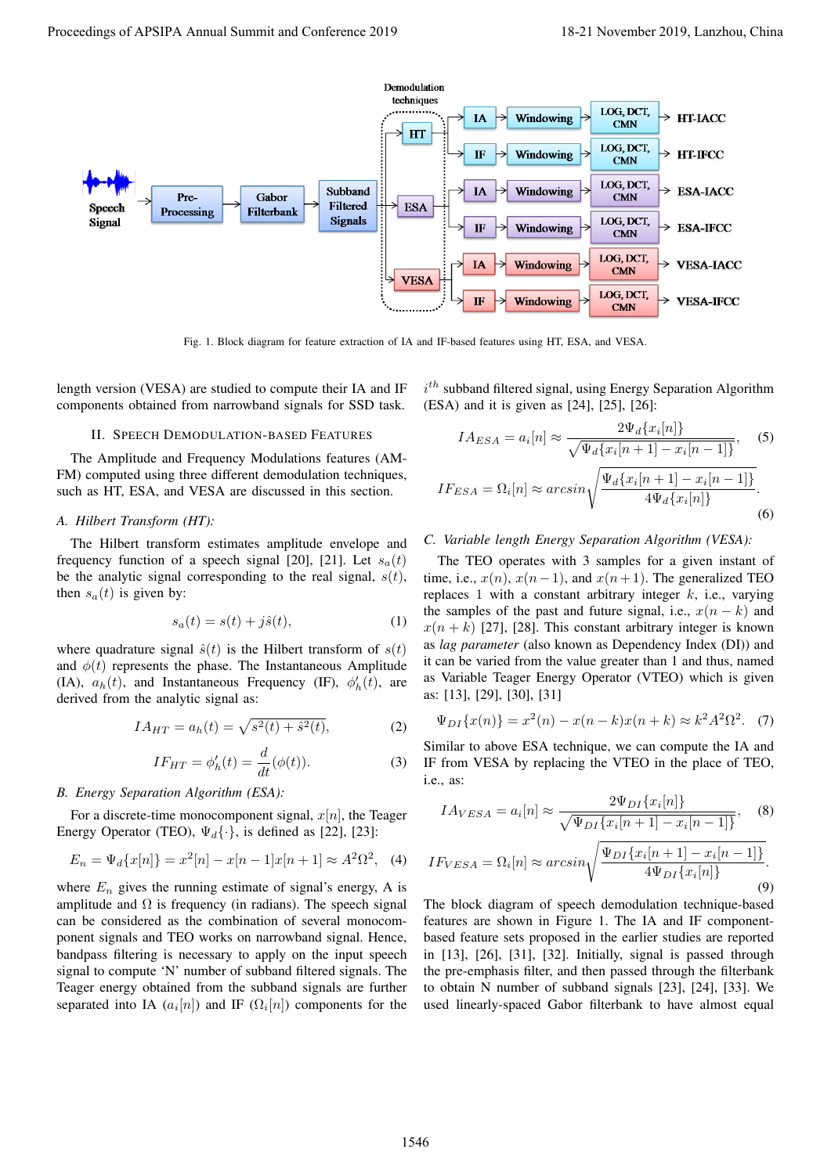

Fig. 1. Block diagram for feature extraction of IA and IF-based features using HT, ESA, and VESA.

length version (VESA) are studied to compute their IA and IF components obtained from narrowband signals for SSD task.

# II. SPEECH DEMODULATION-BASED FEATURES

The Amplitude and Frequency Modulations features (AM-FM) computed using three different demodulation techniques, such as HT, ESA, and VESA are discussed in this section.

# *A. Hilbert Transform (HT):*

The Hilbert transform estimates amplitude envelope and frequency function of a speech signal [20], [21]. Let  $s_a(t)$ be the analytic signal corresponding to the real signal,  $s(t)$ , then  $s_a(t)$  is given by:

$$
s_a(t) = s(t) + j\hat{s}(t),\tag{1}
$$

where quadrature signal  $\hat{s}(t)$  is the Hilbert transform of  $s(t)$ and  $\phi(t)$  represents the phase. The Instantaneous Amplitude (IA),  $a_h(t)$ , and Instantaneous Frequency (IF),  $\phi'_h(t)$ , are derived from the analytic signal as:

$$
IA_{HT} = a_h(t) = \sqrt{s^2(t) + \hat{s}^2(t)},
$$
 (2)

$$
IF_{HT} = \phi'_h(t) = \frac{d}{dt}(\phi(t)).
$$
\n(3)

## *B. Energy Separation Algorithm (ESA):*

For a discrete-time monocomponent signal,  $x[n]$ , the Teager Energy Operator (TEO),  $\Psi_d$ {·}, is defined as [22], [23]:

$$
E_n = \Psi_d\{x[n]\} = x^2[n] - x[n-1]x[n+1] \approx A^2\Omega^2, \quad (4)
$$

where  $E_n$  gives the running estimate of signal's energy, A is amplitude and  $\Omega$  is frequency (in radians). The speech signal can be considered as the combination of several monocomponent signals and TEO works on narrowband signal. Hence, bandpass filtering is necessary to apply on the input speech signal to compute 'N' number of subband filtered signals. The Teager energy obtained from the subband signals are further separated into IA  $(a_i[n])$  and IF  $(\Omega_i[n])$  components for the

 $i^{th}$  subband filtered signal, using Energy Separation Algorithm (ESA) and it is given as [24], [25], [26]:

$$
IA_{ESA} = a_i[n] \approx \frac{2\Psi_d\{x_i[n]\}}{\sqrt{\Psi_d\{x_i[n+1] - x_i[n-1]\}}},
$$
(5)  

$$
IF_{ESA} = \Omega_i[n] \approx \arcsin\sqrt{\frac{\Psi_d\{x_i[n+1] - x_i[n-1]\}}{4\Psi_d\{x_i[n]\}}}.
$$
(6)

# *C. Variable length Energy Separation Algorithm (VESA):*

The TEO operates with 3 samples for a given instant of time, i.e.,  $x(n)$ ,  $x(n-1)$ , and  $x(n+1)$ . The generalized TEO replaces 1 with a constant arbitrary integer  $k$ , i.e., varying the samples of the past and future signal, i.e.,  $x(n - k)$  and  $x(n + k)$  [27], [28]. This constant arbitrary integer is known as *lag parameter* (also known as Dependency Index (DI)) and it can be varied from the value greater than 1 and thus, named as Variable Teager Energy Operator (VTEO) which is given as: [13], [29], [30], [31]

$$
\Psi_{DI}\{x(n)\} = x^2(n) - x(n-k)x(n+k) \approx k^2 A^2 \Omega^2. \tag{7}
$$

Similar to above ESA technique, we can compute the IA and IF from VESA by replacing the VTEO in the place of TEO, i.e., as:

$$
IA_{VESA} = a_i[n] \approx \frac{2\Psi_{DI}\{x_i[n]\}}{\sqrt{\Psi_{DI}\{x_i[n+1] - x_i[n-1]\}}},
$$
 (8)

$$
IF_{VESA} = \Omega_i[n] \approx \arcsin\sqrt{\frac{\Psi_{DI}\{x_i[n+1] - x_i[n-1]\}}{4\Psi_{DI}\{x_i[n]\}}}.
$$
\n(9)

The block diagram of speech demodulation technique-based features are shown in Figure 1. The IA and IF componentbased feature sets proposed in the earlier studies are reported in [13], [26], [31], [32]. Initially, signal is passed through the pre-emphasis filter, and then passed through the filterbank to obtain N number of subband signals [23], [24], [33]. We used linearly-spaced Gabor filterbank to have almost equal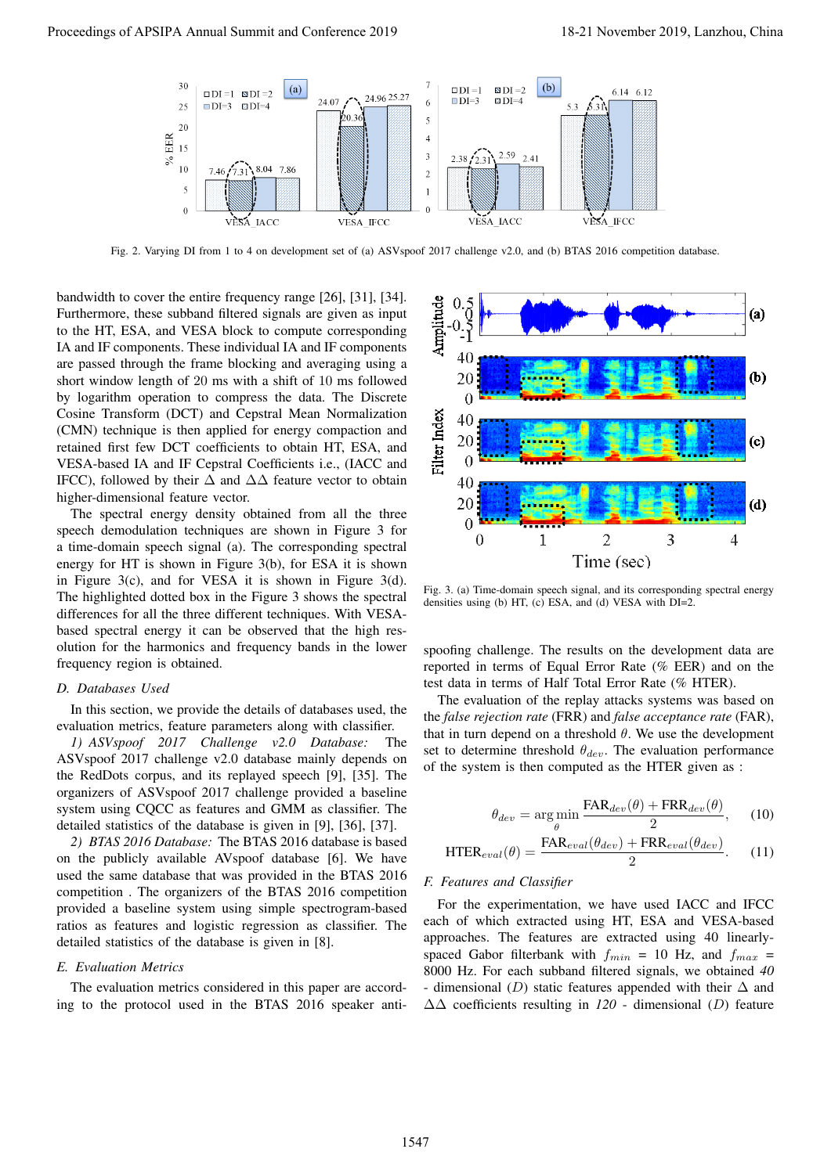

Fig. 2. Varying DI from 1 to 4 on development set of (a) ASVspoof 2017 challenge v2.0, and (b) BTAS 2016 competition database.

bandwidth to cover the entire frequency range [26], [31], [34]. Furthermore, these subband filtered signals are given as input to the HT, ESA, and VESA block to compute corresponding IA and IF components. These individual IA and IF components are passed through the frame blocking and averaging using a short window length of 20 ms with a shift of 10 ms followed by logarithm operation to compress the data. The Discrete Cosine Transform (DCT) and Cepstral Mean Normalization (CMN) technique is then applied for energy compaction and retained first few DCT coefficients to obtain HT, ESA, and VESA-based IA and IF Cepstral Coefficients i.e., (IACC and IFCC), followed by their  $\Delta$  and  $\Delta\Delta$  feature vector to obtain higher-dimensional feature vector.

The spectral energy density obtained from all the three speech demodulation techniques are shown in Figure 3 for a time-domain speech signal (a). The corresponding spectral energy for HT is shown in Figure 3(b), for ESA it is shown in Figure 3(c), and for VESA it is shown in Figure 3(d). The highlighted dotted box in the Figure 3 shows the spectral differences for all the three different techniques. With VESAbased spectral energy it can be observed that the high resolution for the harmonics and frequency bands in the lower frequency region is obtained.

#### *D. Databases Used*

In this section, we provide the details of databases used, the evaluation metrics, feature parameters along with classifier.

*1) ASVspoof 2017 Challenge v2.0 Database:* The ASVspoof 2017 challenge v2.0 database mainly depends on the RedDots corpus, and its replayed speech [9], [35]. The organizers of ASVspoof 2017 challenge provided a baseline system using CQCC as features and GMM as classifier. The detailed statistics of the database is given in [9], [36], [37].

*2) BTAS 2016 Database:* The BTAS 2016 database is based on the publicly available AVspoof database [6]. We have used the same database that was provided in the BTAS 2016 competition . The organizers of the BTAS 2016 competition provided a baseline system using simple spectrogram-based ratios as features and logistic regression as classifier. The detailed statistics of the database is given in [8].

#### *E. Evaluation Metrics*

The evaluation metrics considered in this paper are according to the protocol used in the BTAS 2016 speaker anti-



Fig. 3. (a) Time-domain speech signal, and its corresponding spectral energy densities using (b) HT, (c) ESA, and (d) VESA with DI=2.

spoofing challenge. The results on the development data are reported in terms of Equal Error Rate (% EER) and on the test data in terms of Half Total Error Rate (% HTER).

The evaluation of the replay attacks systems was based on the *false rejection rate* (FRR) and *false acceptance rate* (FAR), that in turn depend on a threshold  $\theta$ . We use the development set to determine threshold  $\theta_{dev}$ . The evaluation performance of the system is then computed as the HTER given as :

$$
\theta_{dev} = \underset{\theta}{\arg\min} \frac{\text{FAR}_{dev}(\theta) + \text{FRR}_{dev}(\theta)}{2}, \quad (10)
$$

$$
HTER_{eval}(\theta) = \frac{FAR_{eval}(\theta_{dev}) + FRR_{eval}(\theta_{dev})}{2}.
$$
 (11)

## *F. Features and Classifier*

For the experimentation, we have used IACC and IFCC each of which extracted using HT, ESA and VESA-based approaches. The features are extracted using 40 linearlyspaced Gabor filterbank with  $f_{min} = 10$  Hz, and  $f_{max} =$ 8000 Hz. For each subband filtered signals, we obtained *40* - dimensional (D) static features appended with their  $\Delta$  and ∆∆ coefficients resulting in *120* - dimensional (D) feature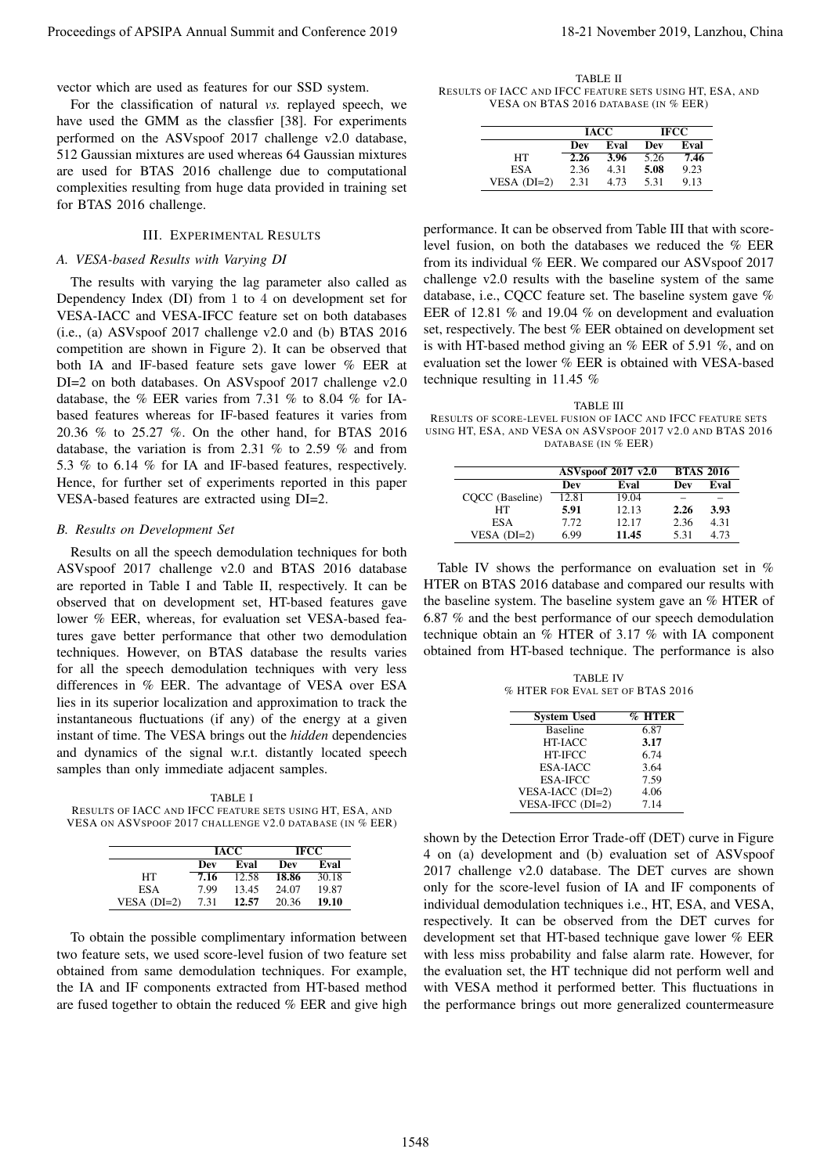For the classification of natural *vs.* replayed speech, we have used the GMM as the classfier [38]. For experiments performed on the ASVspoof 2017 challenge v2.0 database, 512 Gaussian mixtures are used whereas 64 Gaussian mixtures are used for BTAS 2016 challenge due to computational complexities resulting from huge data provided in training set for BTAS 2016 challenge.

# III. EXPERIMENTAL RESULTS

## *A. VESA-based Results with Varying DI*

The results with varying the lag parameter also called as Dependency Index (DI) from 1 to 4 on development set for VESA-IACC and VESA-IFCC feature set on both databases (i.e., (a) ASVspoof 2017 challenge v2.0 and (b) BTAS 2016 competition are shown in Figure 2). It can be observed that both IA and IF-based feature sets gave lower % EER at DI=2 on both databases. On ASVspoof 2017 challenge v2.0 database, the % EER varies from 7.31 % to 8.04 % for IAbased features whereas for IF-based features it varies from 20.36 % to 25.27 %. On the other hand, for BTAS 2016 database, the variation is from 2.31 % to 2.59 % and from 5.3 % to 6.14 % for IA and IF-based features, respectively. Hence, for further set of experiments reported in this paper VESA-based features are extracted using DI=2. Proceeding of APSIPA Annual Summit and Conference 2019<br>
Universe of the main of Conference 2019, the main ASD process of the main and conference 2019, and the main and conference 2019 in the main and conference 2019, and

#### *B. Results on Development Set*

Results on all the speech demodulation techniques for both ASVspoof 2017 challenge v2.0 and BTAS 2016 database are reported in Table I and Table II, respectively. It can be observed that on development set, HT-based features gave lower % EER, whereas, for evaluation set VESA-based features gave better performance that other two demodulation techniques. However, on BTAS database the results varies for all the speech demodulation techniques with very less differences in % EER. The advantage of VESA over ESA lies in its superior localization and approximation to track the instantaneous fluctuations (if any) of the energy at a given instant of time. The VESA brings out the *hidden* dependencies and dynamics of the signal w.r.t. distantly located speech samples than only immediate adjacent samples.

TABLE I RESULTS OF IACC AND IFCC FEATURE SETS USING HT, ESA, AND VESA ON ASVSPOOF 2017 CHALLENGE V2.0 DATABASE (IN % EER)

|               | <b>IACC</b> |       | <b>IFCC</b> |       |
|---------------|-------------|-------|-------------|-------|
|               | Dev         | Eval  | Dev         | Eval  |
| HТ            | 7.16        | 12.58 | 18.86       | 30.18 |
| <b>ESA</b>    | 7.99        | 13.45 | 24.07       | 19.87 |
| VESA $(DI=2)$ | 7.31        | 12.57 | 20.36       | 19.10 |

To obtain the possible complimentary information between two feature sets, we used score-level fusion of two feature set obtained from same demodulation techniques. For example, the IA and IF components extracted from HT-based method are fused together to obtain the reduced % EER and give high

TABLE II RESULTS OF IACC AND IFCC FEATURE SETS USING HT, ESA, AND VESA ON BTAS 2016 DATABASE (IN % EER)

|               | <b>IACC</b> |      | <b>IFCC</b> |      |
|---------------|-------------|------|-------------|------|
|               | Dev         | Eval | Dev         | Eval |
| HТ            | 2.26        | 3.96 | 5.26        | 7.46 |
| ESA           | 2.36        | 4.31 | 5.08        | 9.23 |
| VESA $(DI=2)$ | 2.31        | 4.73 | 5.31        | 9.13 |

performance. It can be observed from Table III that with scorelevel fusion, on both the databases we reduced the % EER from its individual % EER. We compared our ASVspoof 2017 challenge v2.0 results with the baseline system of the same database, i.e., CQCC feature set. The baseline system gave % EER of 12.81 % and 19.04 % on development and evaluation set, respectively. The best % EER obtained on development set is with HT-based method giving an % EER of 5.91 %, and on evaluation set the lower % EER is obtained with VESA-based technique resulting in 11.45 %

TABLE III RESULTS OF SCORE-LEVEL FUSION OF IACC AND IFCC FEATURE SETS USING HT, ESA, AND VESA ON ASVSPOOF 2017 V2.0 AND BTAS 2016 DATABASE (IN % EER)

|                 | <b>ASVspoof 2017 v2.0</b> |       | <b>BTAS 2016</b> |      |
|-----------------|---------------------------|-------|------------------|------|
|                 | Dev                       | Eval  | Dev              | Eval |
| COCC (Baseline) | 12.81                     | 19.04 |                  |      |
| HТ              | 5.91                      | 12.13 | 2.26             | 3.93 |
| ES A            | 7.72                      | 12.17 | 2.36             | 4.31 |
| VESA $(DI=2)$   | 6.99                      | 11.45 | 5.31             | 4.73 |

Table IV shows the performance on evaluation set in % HTER on BTAS 2016 database and compared our results with the baseline system. The baseline system gave an % HTER of 6.87 % and the best performance of our speech demodulation technique obtain an % HTER of 3.17 % with IA component obtained from HT-based technique. The performance is also

TABLE IV % HTER FOR EVAL SET OF BTAS 2016

| <b>System Used</b> | $\overline{\%}$ HTER |
|--------------------|----------------------|
| <b>Baseline</b>    | 6.87                 |
| HT-IACC            | 3.17                 |
| HT-IFCC            | 6.74                 |
| <b>ESA-IACC</b>    | 3.64                 |
| <b>ESA-IFCC</b>    | 7.59                 |
| VESA-IACC (DI=2)   | 4.06                 |
| VESA-IFCC (DI=2)   | 7.14                 |

shown by the Detection Error Trade-off (DET) curve in Figure 4 on (a) development and (b) evaluation set of ASVspoof 2017 challenge v2.0 database. The DET curves are shown only for the score-level fusion of IA and IF components of individual demodulation techniques i.e., HT, ESA, and VESA, respectively. It can be observed from the DET curves for development set that HT-based technique gave lower % EER with less miss probability and false alarm rate. However, for the evaluation set, the HT technique did not perform well and with VESA method it performed better. This fluctuations in the performance brings out more generalized countermeasure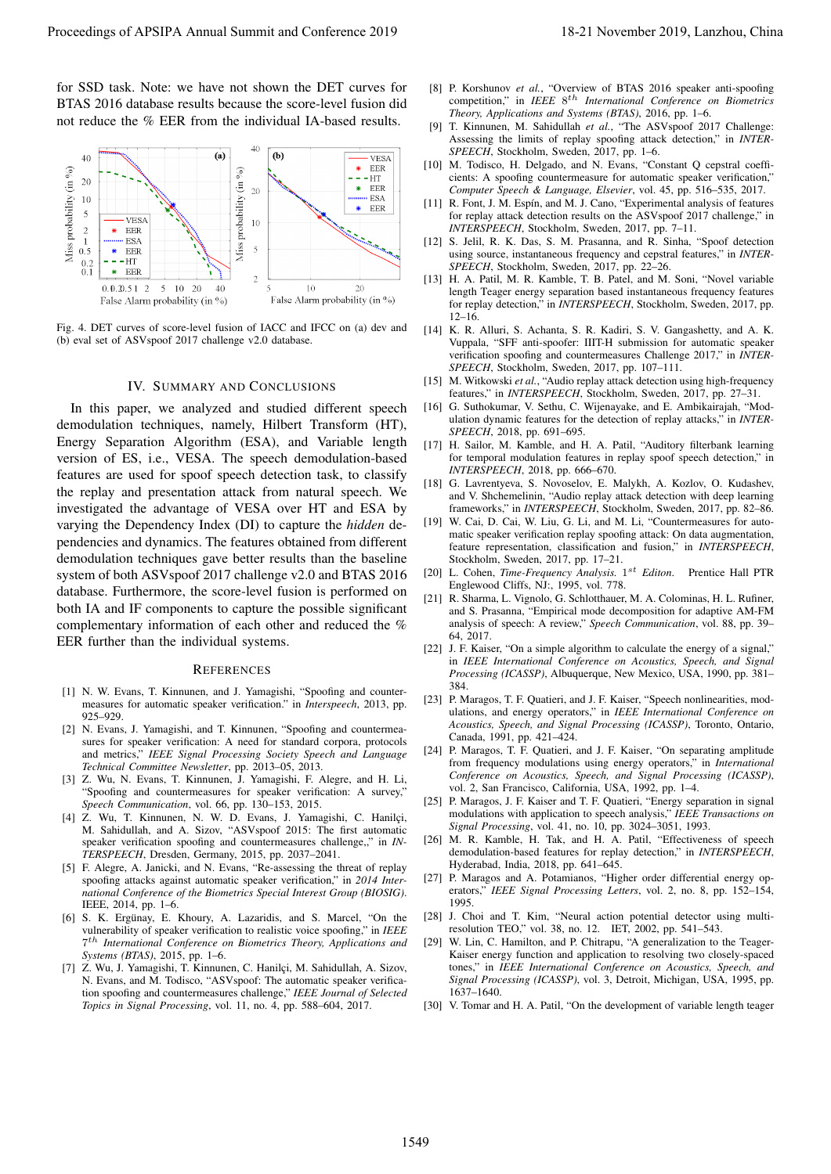for SSD task. Note: we have not shown the DET curves for BTAS 2016 database results because the score-level fusion did not reduce the % EER from the individual IA-based results.



Fig. 4. DET curves of score-level fusion of IACC and IFCC on (a) dev and (b) eval set of ASVspoof 2017 challenge v2.0 database.

#### IV. SUMMARY AND CONCLUSIONS

In this paper, we analyzed and studied different speech demodulation techniques, namely, Hilbert Transform (HT), Energy Separation Algorithm (ESA), and Variable length version of ES, i.e., VESA. The speech demodulation-based features are used for spoof speech detection task, to classify the replay and presentation attack from natural speech. We investigated the advantage of VESA over HT and ESA by varying the Dependency Index (DI) to capture the *hidden* dependencies and dynamics. The features obtained from different demodulation techniques gave better results than the baseline system of both ASVspoof 2017 challenge v2.0 and BTAS 2016 database. Furthermore, the score-level fusion is performed on both IA and IF components to capture the possible significant complementary information of each other and reduced the % EER further than the individual systems. Proceedings of APSIPA Annual Summit and Conference 2019<br>
LINES And Altitude Conference 2019, Lanzibus of Altitude Conference 2019<br>
LINES AND ARRESTS OF A CONFERENCE 2019 (Conference 2019)<br>
LINES AND ARRESTS OF A CONFERENC

#### **REFERENCES**

- [1] N. W. Evans, T. Kinnunen, and J. Yamagishi, "Spoofing and countermeasures for automatic speaker verification." in *Interspeech*, 2013, pp. 925–929.
- [2] N. Evans, J. Yamagishi, and T. Kinnunen, "Spoofing and countermeasures for speaker verification: A need for standard corpora, protocols and metrics," *IEEE Signal Processing Society Speech and Language Technical Committee Newsletter*, pp. 2013–05, 2013.
- [3] Z. Wu, N. Evans, T. Kinnunen, J. Yamagishi, F. Alegre, and H. Li, "Spoofing and countermeasures for speaker verification: A survey," *Speech Communication*, vol. 66, pp. 130–153, 2015.
- [4] Z. Wu, T. Kinnunen, N. W. D. Evans, J. Yamagishi, C. Hanilci, M. Sahidullah, and A. Sizov, "ASVspoof 2015: The first automatic speaker verification spoofing and countermeasures challenge,," in *IN-TERSPEECH*, Dresden, Germany, 2015, pp. 2037–2041.
- [5] F. Alegre, A. Janicki, and N. Evans, "Re-assessing the threat of replay spoofing attacks against automatic speaker verification," in *2014 International Conference of the Biometrics Special Interest Group (BIOSIG)*. IEEE, 2014, pp. 1–6.
- [6] S. K. Ergünay, E. Khoury, A. Lazaridis, and S. Marcel, "On the vulnerability of speaker verification to realistic voice spoofing," in *IEEE* 7 th *International Conference on Biometrics Theory, Applications and Systems (BTAS)*, 2015, pp. 1–6.
- [7] Z. Wu, J. Yamagishi, T. Kinnunen, C. Hanilçi, M. Sahidullah, A. Sizov, N. Evans, and M. Todisco, "ASVspoof: The automatic speaker verification spoofing and countermeasures challenge," *IEEE Journal of Selected Topics in Signal Processing*, vol. 11, no. 4, pp. 588–604, 2017.
- [8] P. Korshunov *et al.*, "Overview of BTAS 2016 speaker anti-spoofing competition," in *IEEE* 8<sup>th</sup> International Conference on Biometrics *Theory, Applications and Systems (BTAS)*, 2016, pp. 1–6.
- [9] T. Kinnunen, M. Sahidullah *et al.*, "The ASVspoof 2017 Challenge: Assessing the limits of replay spoofing attack detection," in *INTER-SPEECH*, Stockholm, Sweden, 2017, pp. 1–6.
- [10] M. Todisco, H. Delgado, and N. Evans, "Constant O cepstral coefficients: A spoofing countermeasure for automatic speaker verification," *Computer Speech & Language, Elsevier*, vol. 45, pp. 516–535, 2017.
- [11] R. Font, J. M. Espín, and M. J. Cano, "Experimental analysis of features for replay attack detection results on the ASVspoof 2017 challenge," in *INTERSPEECH*, Stockholm, Sweden, 2017, pp. 7–11.
- [12] S. Jelil, R. K. Das, S. M. Prasanna, and R. Sinha, "Spoof detection using source, instantaneous frequency and cepstral features," in *INTER-SPEECH*, Stockholm, Sweden, 2017, pp. 22–26.
- [13] H. A. Patil, M. R. Kamble, T. B. Patel, and M. Soni, "Novel variable length Teager energy separation based instantaneous frequency features for replay detection," in *INTERSPEECH*, Stockholm, Sweden, 2017, pp.  $12-16$ .
- [14] K. R. Alluri, S. Achanta, S. R. Kadiri, S. V. Gangashetty, and A. K. Vuppala, "SFF anti-spoofer: IIIT-H submission for automatic speaker verification spoofing and countermeasures Challenge 2017," in *INTER-SPEECH*, Stockholm, Sweden, 2017, pp. 107–111.
- [15] M. Witkowski et al., "Audio replay attack detection using high-frequency features," in *INTERSPEECH*, Stockholm, Sweden, 2017, pp. 27–31.
- [16] G. Suthokumar, V. Sethu, C. Wijenayake, and E. Ambikairajah, "Modulation dynamic features for the detection of replay attacks," in *INTER-SPEECH*, 2018, pp. 691–695.
- [17] H. Sailor, M. Kamble, and H. A. Patil, "Auditory filterbank learning for temporal modulation features in replay spoof speech detection," in *INTERSPEECH*, 2018, pp. 666–670.
- [18] G. Lavrentyeva, S. Novoselov, E. Malykh, A. Kozlov, O. Kudashev, and V. Shchemelinin, "Audio replay attack detection with deep learning frameworks," in *INTERSPEECH*, Stockholm, Sweden, 2017, pp. 82–86.
- [19] W. Cai, D. Cai, W. Liu, G. Li, and M. Li, "Countermeasures for automatic speaker verification replay spoofing attack: On data augmentation, feature representation, classification and fusion," in *INTERSPEECH*, Stockholm, Sweden, 2017, pp. 17–21.
- [20] L. Cohen, *Time-Frequency Analysis*. 1<sup>st</sup> Editon. Prentice Hall PTR Englewood Cliffs, NJ:, 1995, vol. 778.
- [21] R. Sharma, L. Vignolo, G. Schlotthauer, M. A. Colominas, H. L. Rufiner, and S. Prasanna, "Empirical mode decomposition for adaptive AM-FM analysis of speech: A review," *Speech Communication*, vol. 88, pp. 39– 64, 2017.
- [22] J. F. Kaiser, "On a simple algorithm to calculate the energy of a signal," in *IEEE International Conference on Acoustics, Speech, and Signal Processing (ICASSP)*, Albuquerque, New Mexico, USA, 1990, pp. 381– 384.
- [23] P. Maragos, T. F. Quatieri, and J. F. Kaiser, "Speech nonlinearities, modulations, and energy operators," in *IEEE International Conference on Acoustics, Speech, and Signal Processing (ICASSP)*, Toronto, Ontario, Canada, 1991, pp. 421–424.
- [24] P. Maragos, T. F. Quatieri, and J. F. Kaiser, "On separating amplitude from frequency modulations using energy operators," in *International Conference on Acoustics, Speech, and Signal Processing (ICASSP)*, vol. 2, San Francisco, California, USA, 1992, pp. 1–4.
- [25] P. Maragos, J. F. Kaiser and T. F. Quatieri, "Energy separation in signal modulations with application to speech analysis," *IEEE Transactions on Signal Processing*, vol. 41, no. 10, pp. 3024–3051, 1993.
- [26] M. R. Kamble, H. Tak, and H. A. Patil, "Effectiveness of speech demodulation-based features for replay detection," in *INTERSPEECH*, Hyderabad, India, 2018, pp. 641–645.
- [27] P. Maragos and A. Potamianos, "Higher order differential energy operators," *IEEE Signal Processing Letters*, vol. 2, no. 8, pp. 152–154, 1995.
- [28] J. Choi and T. Kim, "Neural action potential detector using multiresolution TEO," vol. 38, no. 12. IET, 2002, pp. 541–543.
- [29] W. Lin, C. Hamilton, and P. Chitrapu, "A generalization to the Teager-Kaiser energy function and application to resolving two closely-spaced tones," in *IEEE International Conference on Acoustics, Speech, and Signal Processing (ICASSP)*, vol. 3, Detroit, Michigan, USA, 1995, pp. 1637–1640.
- [30] V. Tomar and H. A. Patil, "On the development of variable length teager